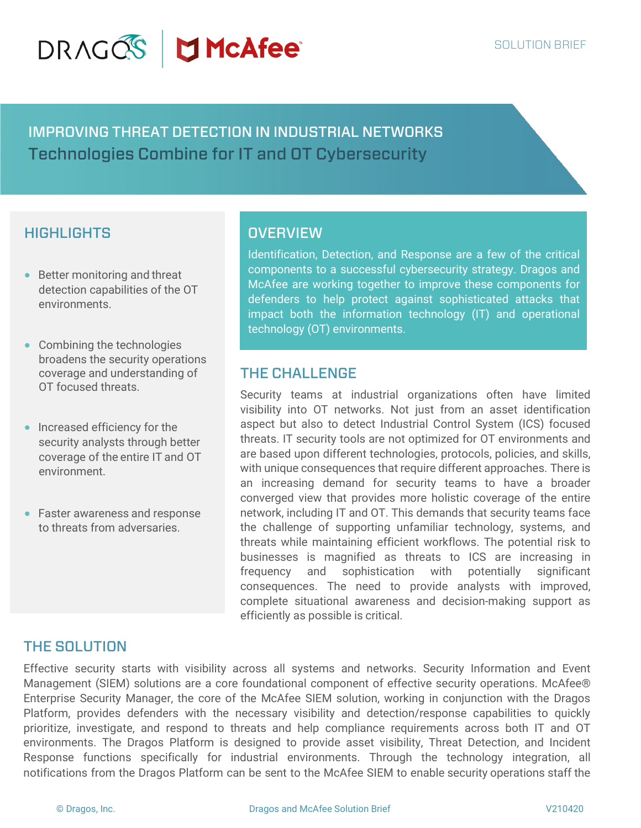# DRAGOS JMcAfee

IMPROVING THREAT DETECTION IN INDUSTRIAL NETWORKS Technologies Combine for IT and OT Cybersecurity

# **HIGHLIGHTS**

- Better monitoring and threat detection capabilities of the OT environments.
- Combining the technologies broadens the security operations coverage and understanding of OT focused threats.
- Increased efficiency for the security analysts through better coverage of the entire IT and OT environment.
- Faster awareness and response to threats from adversaries.

### **OVERVIEW**

Identification, Detection, and Response are a few of the critical components to a successful cybersecurity strategy. Dragos and McAfee are working together to improve these components for defenders to help protect against sophisticated attacks that impact both the information technology (IT) and operational technology (OT) environments.

## THE CHALLENGE

Security teams at industrial organizations often have limited visibility into OT networks. Not just from an asset identification aspect but also to detect Industrial Control System (ICS) focused threats. IT security tools are not optimized for OT environments and are based upon different technologies, protocols, policies, and skills, with unique consequences that require different approaches. There is an increasing demand for security teams to have a broader converged view that provides more holistic coverage of the entire network, including IT and OT. This demands that security teams face the challenge of supporting unfamiliar technology, systems, and threats while maintaining efficient workflows. The potential risk to businesses is magnified as threats to ICS are increasing in frequency and sophistication with potentially significant consequences. The need to provide analysts with improved, complete situational awareness and decision-making support as efficiently as possible is critical.

## THE SOLUTION

Effective security starts with visibility across all systems and networks. Security Information and Event Management (SIEM) solutions are a core foundational component of effective security operations. McAfee® Enterprise Security Manager, the core of the McAfee SIEM solution, working in conjunction with the Dragos Platform, provides defenders with the necessary visibility and detection/response capabilities to quickly prioritize, investigate, and respond to threats and help compliance requirements across both IT and OT environments. The Dragos Platform is designed to provide asset visibility, Threat Detection, and Incident Response functions specifically for industrial environments. Through the technology integration, all notifications from the Dragos Platform can be sent to the McAfee SIEM to enable security operations staff the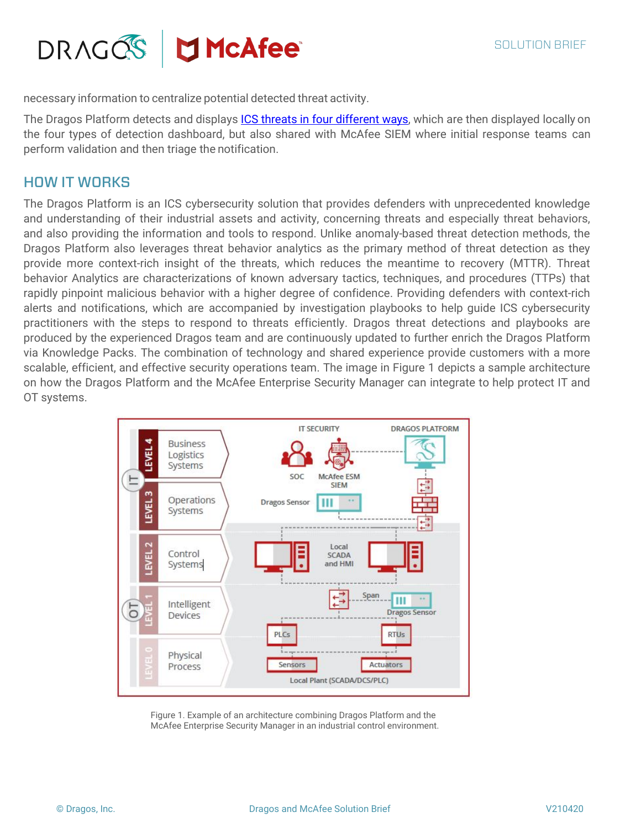

necessary information to centralize potential detected threat activity.

The Dragos Platform detects and displays ICS threats in four different ways, which are then displayed locally on the four types of detection dashboard, but also shared with McAfee SIEM where initial response teams can perform validation and then triage the notification.

#### HOW IT WORKS

The Dragos Platform is an ICS cybersecurity solution that provides defenders with unprecedented knowledge and understanding of their industrial assets and activity, concerning threats and especially threat behaviors, and also providing the information and tools to respond. Unlike anomaly-based threat detection methods, the Dragos Platform also leverages threat behavior analytics as the primary method of threat detection as they provide more context-rich insight of the threats, which reduces the meantime to recovery (MTTR). Threat behavior Analytics are characterizations of known adversary tactics, techniques, and procedures (TTPs) that rapidly pinpoint malicious behavior with a higher degree of confidence. Providing defenders with context-rich alerts and notifications, which are accompanied by investigation playbooks to help guide ICS cybersecurity practitioners with the steps to respond to threats efficiently. Dragos threat detections and playbooks are produced by the experienced Dragos team and are continuously updated to further enrich the Dragos Platform via Knowledge Packs. The combination of technology and shared experience provide customers with a more scalable, efficient, and effective security operations team. The image in Figure 1 depicts a sample architecture on how the Dragos Platform and the McAfee Enterprise Security Manager can integrate to help protect IT and OT systems.



Figure 1. Example of an architecture combining Dragos Platform and the McAfee Enterprise Security Manager in an industrial control environment.